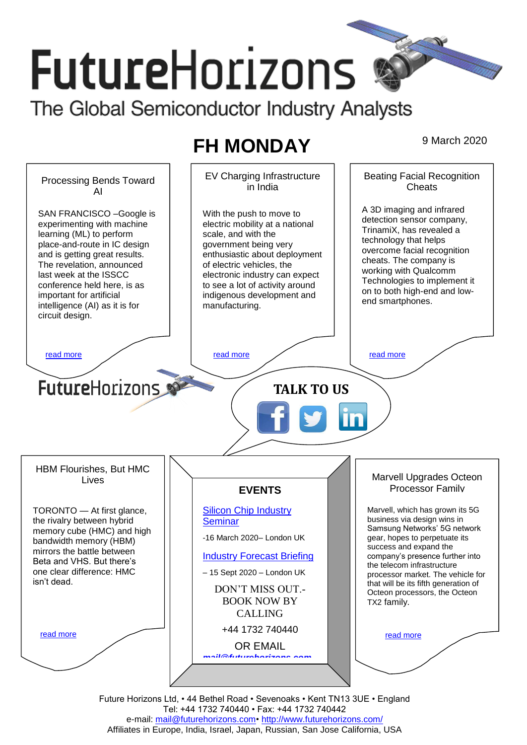# **FutureHorizons** The Global Semiconductor Industry Analysts

## **FH MONDAY** 9 March 2020



Future Horizons Ltd, • 44 Bethel Road • Sevenoaks • Kent TN13 3UE • England Tel: +44 1732 740440 • Fax: +44 1732 740442 e-mail: mail@futurehorizons.com• http://www.futurehorizons.com/ Affiliates in Europe, India, Israel, Japan, Russian, San Jose California, USA